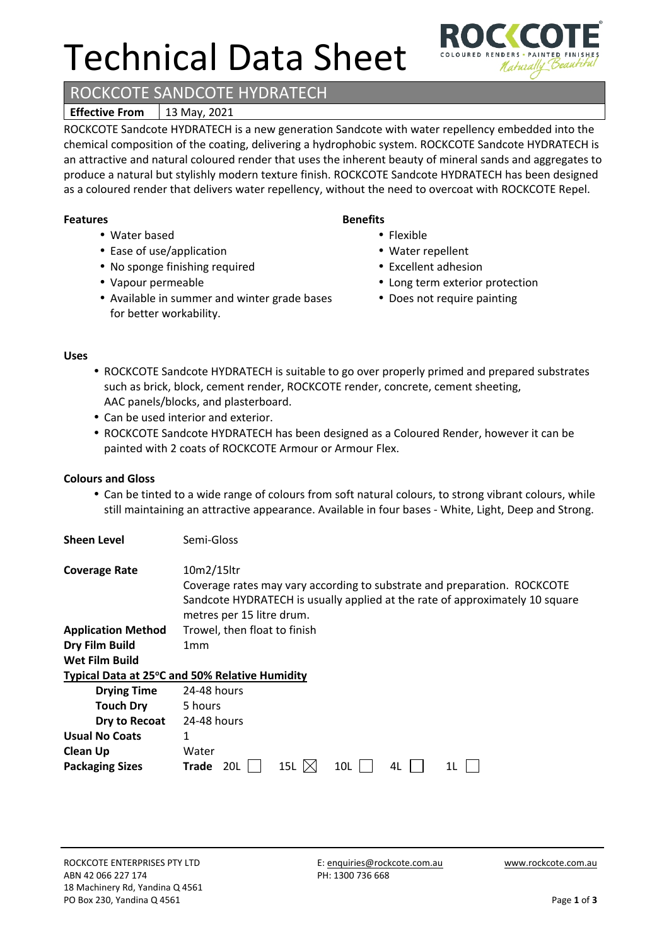# Technical Data Sheet

# ROCKCOTE SANDCOTE HYDRATECH

# **Effective From** | 13 May, 2021

ROCKCOTE Sandcote HYDRATECH is a new generation Sandcote with water repellency embedded into the chemical composition of the coating, delivering a hydrophobic system. ROCKCOTE Sandcote HYDRATECH is an attractive and natural coloured render that uses the inherent beauty of mineral sands and aggregates to produce a natural but stylishly modern texture finish. ROCKCOTE Sandcote HYDRATECH has been designed as a coloured render that delivers water repellency, without the need to overcoat with ROCKCOTE Repel.

#### **Features**

- Water based
- Ease of use/application
- No sponge finishing required
- Vapour permeable
- Available in summer and winter grade bases for better workability.

### **Benefits**

- Flexible
- Water repellent
- Excellent adhesion
- Long term exterior protection
- Does not require painting

#### **Uses**

- ROCKCOTE Sandcote HYDRATECH is suitable to go over properly primed and prepared substrates such as brick, block, cement render, ROCKCOTE render, concrete, cement sheeting, AAC panels/blocks, and plasterboard.
- Can be used interior and exterior.
- ROCKCOTE Sandcote HYDRATECH has been designed as a Coloured Render, however it can be painted with 2 coats of ROCKCOTE Armour or Armour Flex.

#### **Colours and Gloss**

**Sheen Level** Semi-Gloss

• Can be tinted to a wide range of colours from soft natural colours, to strong vibrant colours, while still maintaining an attractive appearance. Available in four bases - White, Light, Deep and Strong.

| <b>Coverage Rate</b>      | 10m2/15ltr<br>Coverage rates may vary according to substrate and preparation. ROCKCOTE<br>Sandcote HYDRATECH is usually applied at the rate of approximately 10 square<br>metres per 15 litre drum. |  |  |
|---------------------------|-----------------------------------------------------------------------------------------------------------------------------------------------------------------------------------------------------|--|--|
| <b>Application Method</b> | Trowel, then float to finish                                                                                                                                                                        |  |  |
| Dry Film Build            | 1 <sub>mm</sub>                                                                                                                                                                                     |  |  |
| <b>Wet Film Build</b>     |                                                                                                                                                                                                     |  |  |
|                           | Typical Data at 25°C and 50% Relative Humidity                                                                                                                                                      |  |  |
| <b>Drying Time</b>        | 24-48 hours                                                                                                                                                                                         |  |  |
| <b>Touch Dry</b>          | 5 hours                                                                                                                                                                                             |  |  |
| Dry to Recoat             | 24-48 hours                                                                                                                                                                                         |  |  |
| <b>Usual No Coats</b>     | 1                                                                                                                                                                                                   |  |  |
| <b>Clean Up</b>           | Water                                                                                                                                                                                               |  |  |
| <b>Packaging Sizes</b>    | <b>Trade</b><br>10L<br>20L<br>15L<br>4L<br>1L                                                                                                                                                       |  |  |

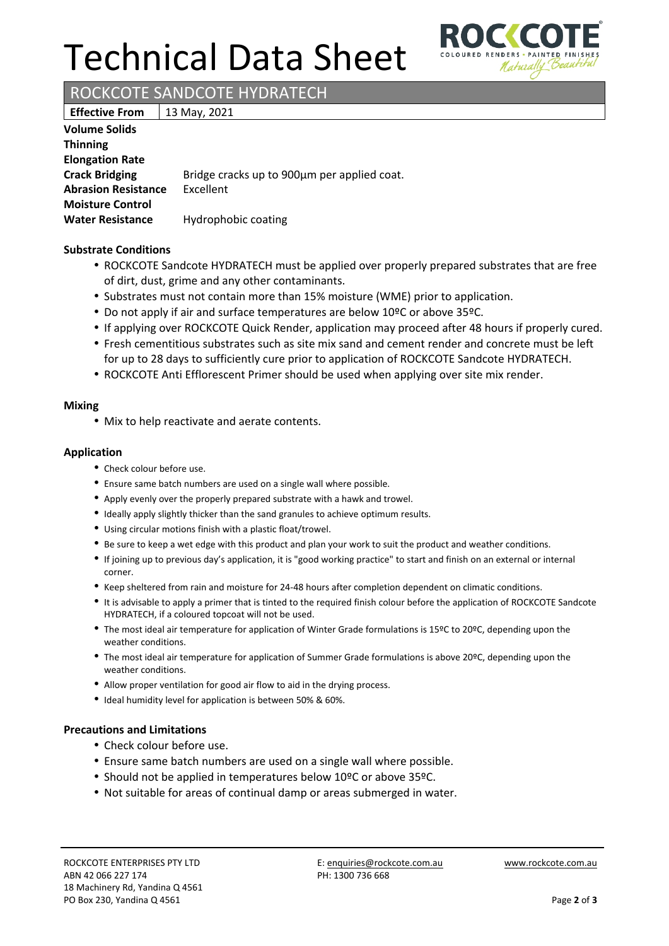# Technical Data Sheet



ROCKCOTE SANDCOTE HYDRATECH

**Effective From** | 13 May, 2021

| <b>Volume Solids</b>       |                                             |
|----------------------------|---------------------------------------------|
| <b>Thinning</b>            |                                             |
| <b>Elongation Rate</b>     |                                             |
| <b>Crack Bridging</b>      | Bridge cracks up to 900µm per applied coat. |
| <b>Abrasion Resistance</b> | Excellent                                   |
| <b>Moisture Control</b>    |                                             |
| <b>Water Resistance</b>    | Hydrophobic coating                         |

#### **Substrate Conditions**

- ROCKCOTE Sandcote HYDRATECH must be applied over properly prepared substrates that are free of dirt, dust, grime and any other contaminants.
- Substrates must not contain more than 15% moisture (WME) prior to application.
- Do not apply if air and surface temperatures are below 10ºC or above 35ºC.
- If applying over ROCKCOTE Quick Render, application may proceed after 48 hours if properly cured.
- Fresh cementitious substrates such as site mix sand and cement render and concrete must be left for up to 28 days to sufficiently cure prior to application of ROCKCOTE Sandcote HYDRATECH.
- ROCKCOTE Anti Efflorescent Primer should be used when applying over site mix render.

#### **Mixing**

• Mix to help reactivate and aerate contents.

#### **Application**

- Check colour before use.
- Ensure same batch numbers are used on a single wall where possible.
- Apply evenly over the properly prepared substrate with a hawk and trowel.
- Ideally apply slightly thicker than the sand granules to achieve optimum results.
- Using circular motions finish with a plastic float/trowel.
- Be sure to keep a wet edge with this product and plan your work to suit the product and weather conditions.
- If joining up to previous day's application, it is "good working practice" to start and finish on an external or internal corner.
- Keep sheltered from rain and moisture for 24-48 hours after completion dependent on climatic conditions.
- It is advisable to apply a primer that is tinted to the required finish colour before the application of ROCKCOTE Sandcote HYDRATECH, if a coloured topcoat will not be used.
- The most ideal air temperature for application of Winter Grade formulations is 15ºC to 20ºC, depending upon the weather conditions.
- The most ideal air temperature for application of Summer Grade formulations is above 20ºC, depending upon the weather conditions.
- Allow proper ventilation for good air flow to aid in the drying process.
- Ideal humidity level for application is between 50% & 60%.

#### **Precautions and Limitations**

- Check colour before use.
- Ensure same batch numbers are used on a single wall where possible.
- Should not be applied in temperatures below 10ºC or above 35ºC.
- Not suitable for areas of continual damp or areas submerged in water.